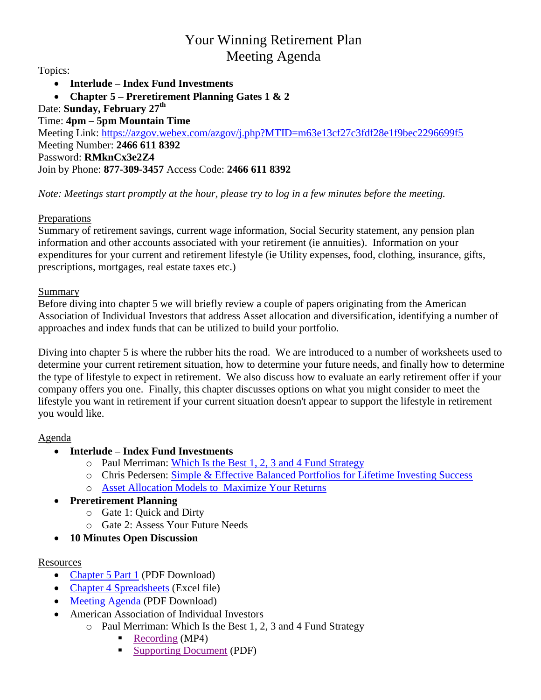# Your Winning Retirement Plan Meeting Agenda

Topics:

- **Interlude – Index Fund Investments**
- **Chapter 5 – Preretirement Planning Gates 1 & 2**
- Date: **Sunday, February 27th**

## Time: **4pm – 5pm Mountain Time**

Meeting Link:<https://azgov.webex.com/azgov/j.php?MTID=m63e13cf27c3fdf28e1f9bec2296699f5> Meeting Number: **2466 611 8392** Password: **RMknCx3e2Z4** Join by Phone: **877-309-3457** Access Code: **2466 611 8392**

*Note: Meetings start promptly at the hour, please try to log in a few minutes before the meeting.*

## Preparations

Summary of retirement savings, current wage information, Social Security statement, any pension plan information and other accounts associated with your retirement (ie annuities). Information on your expenditures for your current and retirement lifestyle (ie Utility expenses, food, clothing, insurance, gifts, prescriptions, mortgages, real estate taxes etc.)

### Summary

Before diving into chapter 5 we will briefly review a couple of papers originating from the American Association of Individual Investors that address Asset allocation and diversification, identifying a number of approaches and index funds that can be utilized to build your portfolio.

Diving into chapter 5 is where the rubber hits the road. We are introduced to a number of worksheets used to determine your current retirement situation, how to determine your future needs, and finally how to determine the type of lifestyle to expect in retirement. We also discuss how to evaluate an early retirement offer if your company offers you one. Finally, this chapter discusses options on what you might consider to meet the lifestyle you want in retirement if your current situation doesn't appear to support the lifestyle in retirement you would like.

#### Agenda

- **Interlude – Index Fund Investments**
	- o Paul Merriman: [Which Is the Best 1, 2, 3 and 4 Fund Strategy](https://www.artcentrics.com/13_MoneyMatters/Your_Winning_Retirement_Plan/AAII_Paul_Merriman_Best_1-4Fund_Strategy_2020-09-23.pdf)
	- o Chris Pedersen: [Simple & Effective Balanced Portfolios for Lifetime Investing Success](https://www.artcentrics.com/13_MoneyMatters/Your_Winning_Retirement_Plan/AAII_Chris_Pedersen_Simple_Balanced_Portfolios_2020-10-22.pdf)
	- o [Asset Allocation Models to Maximize Your Returns](https://www.aaii.com/asset-allocation)

## **Preretirement Planning**

- o Gate 1: Quick and Dirty
- o Gate 2: Assess Your Future Needs
- **10 Minutes Open Discussion**

## **Resources**

- [Chapter 5](https://www.artcentrics.com/13_MoneyMatters/Your_Winning_Retirement_Plan/2022-02-27_BookDiscussion_Chapter-05_P1.pdf) Part 1 (PDF Download)
- [Chapter 4 Spreadsheets](https://www.artcentrics.com/13_MoneyMatters/Your_Winning_Retirement_Plan/Chapter_04_-_Return_On_Investments.xlsx) (Excel file)
- [Meeting Agenda](https://www.artcentrics.com/13_MoneyMatters/Your_Winning_Retirement_Plan/2022-02-27_Meeting_Agenda.pdf) (PDF Download)
- American Association of Individual Investors
	- o Paul Merriman: Which Is the Best 1, 2, 3 and 4 Fund Strategy
		- [Recording](https://www.artcentrics.com/13_MoneyMatters/Your_Winning_Retirement_Plan/AAII_Paul_Merriman_Best_1-4_Fund_Strategy_2020-09-23.mp4) (MP4)
			- [Supporting Document](https://www.artcentrics.com/13_MoneyMatters/Your_Winning_Retirement_Plan/AAII_Paul_Merriman_Best_1-4_Fund_Strategy_2020-09-23.pdf) (PDF)